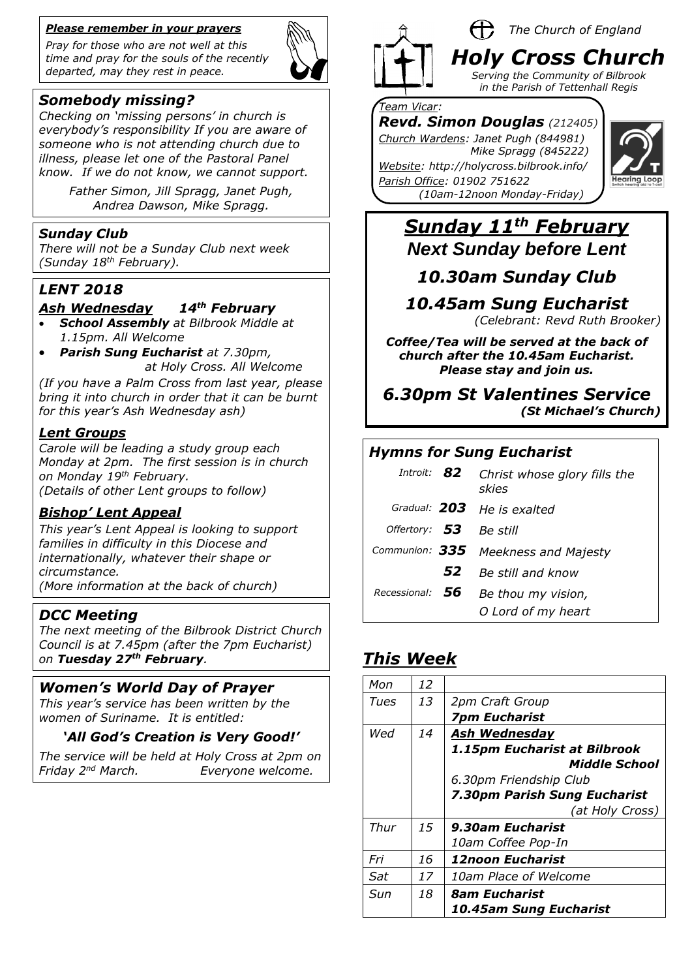#### *Please remember in your prayers*

*Pray for those who are not well at this time and pray for the souls of the recently departed, may they rest in peace.*



## *Somebody missing?*

*Checking on 'missing persons' in church is everybody's responsibility If you are aware of someone who is not attending church due to illness, please let one of the Pastoral Panel know. If we do not know, we cannot support.*

> *Father Simon, Jill Spragg, Janet Pugh, Andrea Dawson, Mike Spragg.*

#### *Sunday Club*

*There will not be a Sunday Club next week (Sunday 18th February).*

#### *LENT 2018*

#### *Ash Wednesday 14th February*

- *School Assembly at Bilbrook Middle at 1.15pm. All Welcome*
	- *Parish Sung Eucharist at 7.30pm, at Holy Cross. All Welcome*

*(If you have a Palm Cross from last year, please bring it into church in order that it can be burnt for this year's Ash Wednesday ash)*

#### *Lent Groups*

*Carole will be leading a study group each Monday at 2pm. The first session is in church on Monday 19th February.*

*(Details of other Lent groups to follow)* 

#### *Bishop' Lent Appeal*

*This year's Lent Appeal is looking to support families in difficulty in this Diocese and internationally, whatever their shape or circumstance.* 

*(More information at the back of church)*

#### *DCC Meeting*

*The next meeting of the Bilbrook District Church Council is at 7.45pm (after the 7pm Eucharist) on Tuesday 27th February.*

### *Women's World Day of Prayer*

*This year's service has been written by the women of Suriname. It is entitled:*

#### *'All God's Creation is Very Good!'*

*The service will be held at Holy Cross at 2pm on Friday 2nd March. Everyone welcome.*



#### H, *The Church of England*

*Holy Cross Church Serving the Community of Bilbrook in the Parish of Tettenhall Regis*

#### *Team Vicar:*

*Revd. Simon Douglas (212405) Church Wardens: Janet Pugh (844981)* 

 *Mike Spragg (845222)* 

*Website: http://holycross.bilbrook.info/ Parish Office: 01902 751622 (10am-12noon Monday-Friday)*



# *Sunday 11th February Next Sunday before Lent*

# *10.30am Sunday Club*

*10.45am Sung Eucharist* 

*(Celebrant: Revd Ruth Brooker)*

*Coffee/Tea will be served at the back of church after the 10.45am Eucharist. Please stay and join us.*

### *6.30pm St Valentines Service (St Michael's Church)*

### *Hymns for Sung Eucharist*

| Introit: $B2$    |     | Christ whose glory fills the<br>skies |
|------------------|-----|---------------------------------------|
| Gradual: 203     |     | He is exalted                         |
| Offertory: $53$  |     | Be still                              |
| Communion: $335$ |     | <b>Meekness and Majesty</b>           |
|                  | 52  | Be still and know                     |
| Recessional:     | -56 | Be thou my vision,                    |
|                  |     | O Lord of my heart                    |

# *This Week*

| Mon  | 12 |                                |
|------|----|--------------------------------|
| Tues | 13 | 2pm Craft Group                |
|      |    | <b>7pm Eucharist</b>           |
| Wed  | 14 | Ash Wednesday                  |
|      |    | 1.15pm Eucharist at Bilbrook   |
|      |    | Middle School                  |
|      |    | 6.30pm Friendship Club         |
|      |    | 7.30pm Parish Sung Eucharist   |
|      |    | (at Holy Cross)                |
| Thur | 15 | 9.30am Eucharist               |
|      |    | 10am Coffee Pop-In             |
| Fri  | 16 | <i><b>12noon Eucharist</b></i> |
| Sat  | 17 | <i>10am Place of Welcome</i>   |
| Sun  | 18 | <i><b>8am Eucharist</b></i>    |
|      |    | 10.45am Sung Eucharist         |